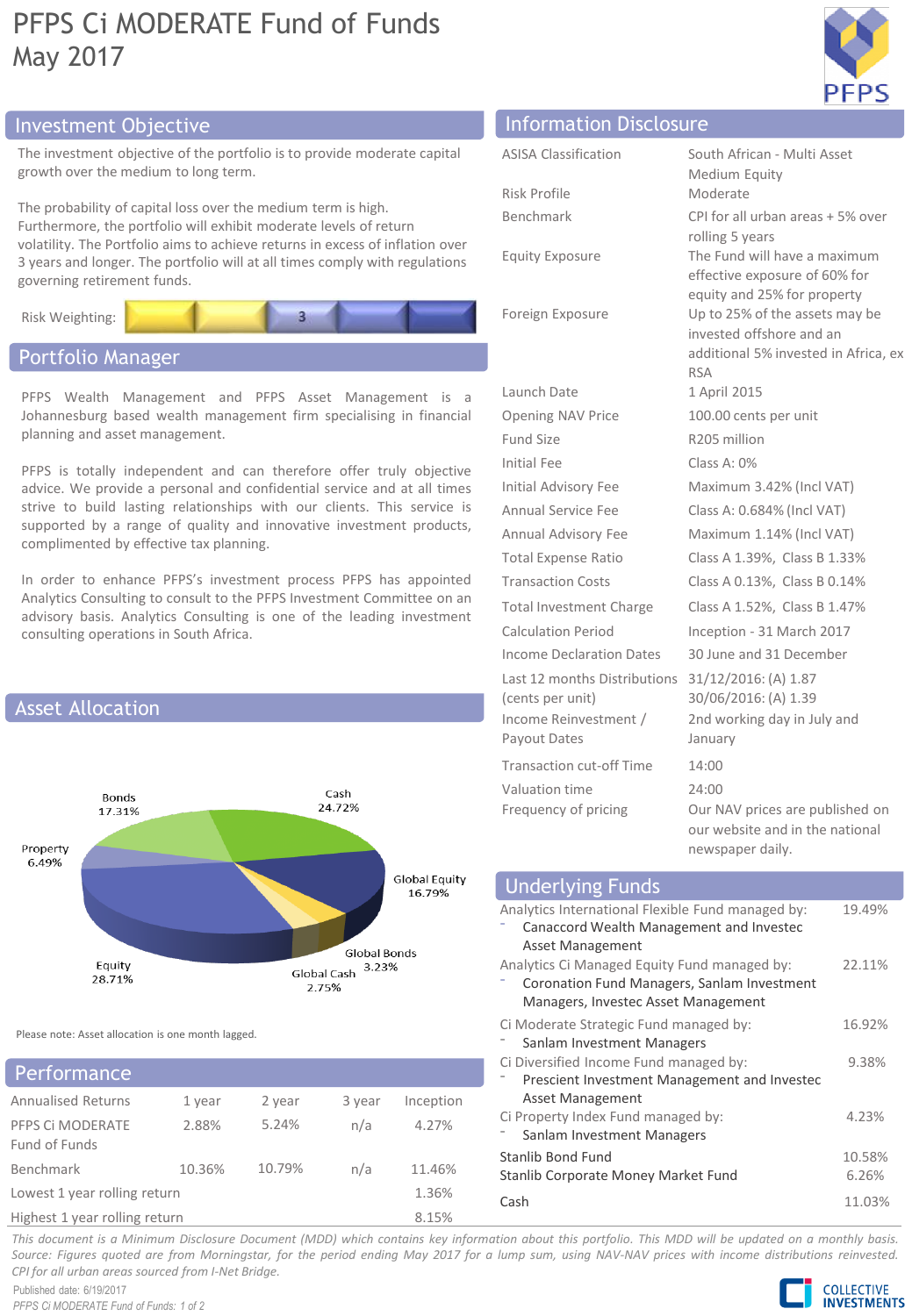# PFPS Ci MODERATE Fund of Funds May 2017



# Investment Objective Information Disclosure

The investment objective of the portfolio is to provide moderate capital growth over the medium to long term.

The probability of capital loss over the medium term is high. Furthermore, the portfolio will exhibit moderate levels of return volatility. The Portfolio aims to achieve returns in excess of inflation over 3 years and longer. The portfolio will at all times comply with regulations governing retirement funds.



### Portfolio Manager

PFPS Wealth Management and PFPS Asset Management is a Johannesburg based wealth management firm specialising in financial planning and asset management.

PFPS is totally independent and can therefore offer truly objective advice. We provide a personal and confidential service and at all times strive to build lasting relationships with our clients. This service is supported by a range of quality and innovative investment products, complimented by effective tax planning.

In order to enhance PFPS's investment process PFPS has appointed Analytics Consulting to consult to the PFPS Investment Committee on an advisory basis. Analytics Consulting is one of the leading investment consulting operations in South Africa.



Please note: Asset allocation is one month lagged.

## Annualised Returns 1 year 2 year 3 year Inception PFPS Ci MODERATE Fund of Funds 2.88% 5.24% n/a 4.27% Benchmark 10.36% 10.79% n/a 11.46% Lowest 1 year rolling return 1.36% Highest 1 year rolling return 8.15% **Performance**

| <b>ASISA Classification</b>                      | South African - Multi Asset<br>Medium Equity                                                                     |
|--------------------------------------------------|------------------------------------------------------------------------------------------------------------------|
| Risk Profile                                     | Moderate                                                                                                         |
| <b>Benchmark</b>                                 | CPI for all urban areas + 5% over<br>rolling 5 years                                                             |
| <b>Equity Exposure</b>                           | The Fund will have a maximum<br>effective exposure of 60% for<br>equity and 25% for property                     |
| Foreign Exposure                                 | Up to 25% of the assets may be<br>invested offshore and an<br>additional 5% invested in Africa, ex<br><b>RSA</b> |
| Launch Date                                      | 1 April 2015                                                                                                     |
| <b>Opening NAV Price</b>                         | 100.00 cents per unit                                                                                            |
| Fund Size                                        | R205 million                                                                                                     |
| Initial Fee                                      | Class A: $0\%$                                                                                                   |
| Initial Advisory Fee                             | Maximum 3.42% (Incl VAT)                                                                                         |
| Annual Service Fee                               | Class A: 0.684% (Incl VAT)                                                                                       |
| Annual Advisory Fee                              | Maximum 1.14% (Incl VAT)                                                                                         |
| <b>Total Expense Ratio</b>                       | Class A 1.39%, Class B 1.33%                                                                                     |
| <b>Transaction Costs</b>                         | Class A 0.13%, Class B 0.14%                                                                                     |
| <b>Total Investment Charge</b>                   | Class A 1.52%, Class B 1.47%                                                                                     |
| <b>Calculation Period</b>                        | Inception - 31 March 2017                                                                                        |
| Income Declaration Dates                         | 30 June and 31 December                                                                                          |
| Last 12 months Distributions<br>(cents per unit) | 31/12/2016: (A) 1.87<br>30/06/2016: (A) 1.39                                                                     |
| Income Reinvestment /<br>Payout Dates            | 2nd working day in July and<br>January                                                                           |
| <b>Transaction cut-off Time</b>                  | 14:00                                                                                                            |
| Valuation time                                   | 24:00                                                                                                            |
| Frequency of pricing                             | Our NAV prices are published on<br>our website and in the national<br>newspaper daily.                           |

| <b>Underlying Funds</b>                                                                                                            |                 |
|------------------------------------------------------------------------------------------------------------------------------------|-----------------|
| Analytics International Flexible Fund managed by:<br>Canaccord Wealth Management and Investec<br>Asset Management                  | 19.49%          |
| Analytics Ci Managed Equity Fund managed by:<br>Coronation Fund Managers, Sanlam Investment<br>Managers, Investec Asset Management | 22.11%          |
| Ci Moderate Strategic Fund managed by:<br>Sanlam Investment Managers                                                               | 16.92%          |
| Ci Diversified Income Fund managed by:<br>Prescient Investment Management and Investec<br>Asset Management                         | 9.38%           |
| Ci Property Index Fund managed by:<br>Sanlam Investment Managers                                                                   | 4.23%           |
| Stanlib Bond Fund<br>Stanlib Corporate Money Market Fund                                                                           | 10.58%<br>6.26% |
| Cash                                                                                                                               | 11.03%          |

This document is a Minimum Disclosure Document (MDD) which contains key information about this portfolio. This MDD will be updated on a monthly basis. Source: Figures quoted are from Morningstar, for the period ending May 2017 for a lump sum, using NAV-NAV prices with income distributions reinvested. *CPI for all urban areas sourced from I-Net Bridge.*

Published date: 6/19/2017 *PFPS Ci MODERATE Fund of Funds: 1 of 2*